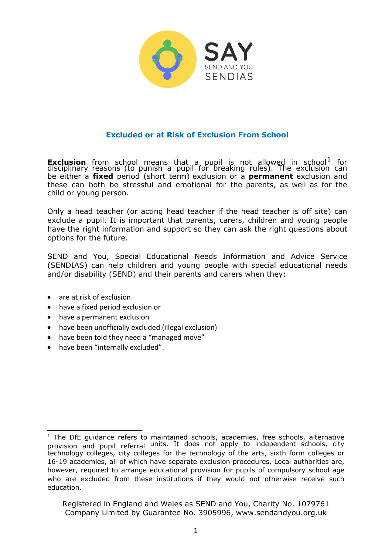

## **Excluded or at Risk of Exclusion From School**

**Exclusion** from school means that a pupil is not allowed in school<sup>1</sup> for disciplinary reasons (to punish a pupil for breaking rules). The exclusion can be either a **fixed** period (short term) exclusion or a **permanent** exclusion and these can both be stressful and emotional for the parents, as well as for the child or young person.

Only a head teacher (or acting head teacher if the head teacher is off site) can exclude a pupil. It is important that parents, carers, children and young people have the right information and support so they can ask the right questions about options for the future.

SEND and You, Special Educational Needs Information and Advice Service (SENDIAS) can help children and young people with special educational needs and/or disability (SEND) and their parents and carers when they:

- are at risk of exclusion
- have a fixed period exclusion or
- have a permanent exclusion
- have been unofficially excluded (illegal exclusion)
- have been told they need a "managed move"
- have been "internally excluded".

<sup>&</sup>lt;sup>1</sup> The DfE guidance refers to maintained schools, academies, free schools, alternative provision and pupil referral units. It does not apply to independent schools, city technology colleges, city colleges for the technology of the arts, sixth form colleges or 16-19 academies, all of which have separate exclusion procedures. Local authorities are, however, required to arrange educational provision for pupils of compulsory school age who are excluded from these institutions if they would not otherwise receive such education.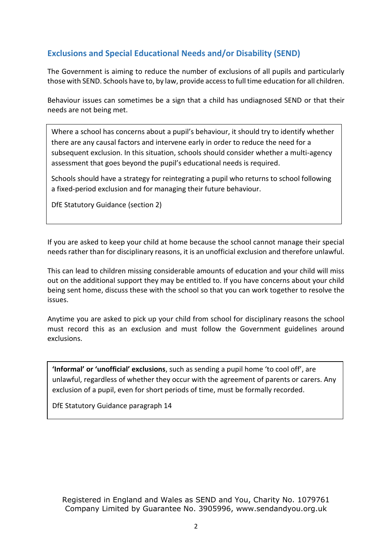# **Exclusions and Special Educational Needs and/or Disability (SEND)**

The Government is aiming to reduce the number of exclusions of all pupils and particularly those with SEND. Schools have to, by law, provide access to full time education for all children.

Behaviour issues can sometimes be a sign that a child has undiagnosed SEND or that their needs are not being met.

Where a school has concerns about a pupil's behaviour, it should try to identify whether there are any causal factors and intervene early in order to reduce the need for a subsequent exclusion. In this situation, schools should consider whether a multi-agency assessment that goes beyond the pupil's educational needs is required.

Schools should have a strategy for reintegrating a pupil who returns to school following a fixed-period exclusion and for managing their future behaviour.

DfE Statutory Guidance (section 2)

If you are asked to keep your child at home because the school cannot manage their special needs rather than for disciplinary reasons, it is an unofficial exclusion and therefore unlawful.

This can lead to children missing considerable amounts of education and your child will miss out on the additional support they may be entitled to. If you have concerns about your child being sent home, discuss these with the school so that you can work together to resolve the issues.

Anytime you are asked to pick up your child from school for disciplinary reasons the school must record this as an exclusion and must follow the Government guidelines around exclusions.

**'Informal' or 'unofficial' exclusions**, such as sending a pupil home 'to cool off', are unlawful, regardless of whether they occur with the agreement of parents or carers. Any exclusion of a pupil, even for short periods of time, must be formally recorded.

DfE Statutory Guidance paragraph 14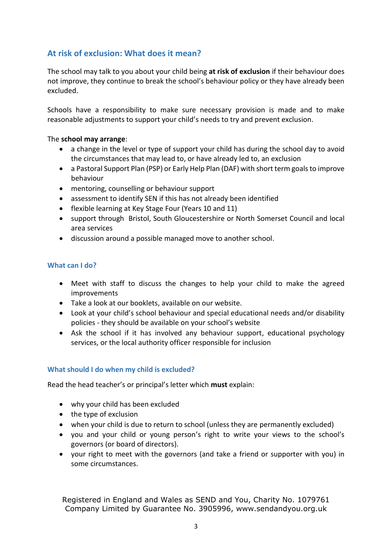# **At risk of exclusion: What does it mean?**

The school may talk to you about your child being **at risk of exclusion** if their behaviour does not improve, they continue to break the school's behaviour policy or they have already been excluded.

Schools have a responsibility to make sure necessary provision is made and to make reasonable adjustments to support your child's needs to try and prevent exclusion.

## The **school may arrange**:

- a change in the level or type of support your child has during the school day to avoid the circumstances that may lead to, or have already led to, an exclusion
- a Pastoral Support Plan (PSP) or Early Help Plan (DAF) with short term goals to improve behaviour
- mentoring, counselling or behaviour support
- assessment to identify SEN if this has not already been identified
- flexible learning at Key Stage Four (Years 10 and 11)
- support through Bristol, South Gloucestershire or North Somerset Council and local area services
- discussion around a possible managed move to another school.

## **What can I do?**

- Meet with staff to discuss the changes to help your child to make the agreed improvements
- Take a look at our booklets, available on our website.
- Look at your child's school behaviour and special educational needs and/or disability policies - they should be available on your school's website
- Ask the school if it has involved any behaviour support, educational psychology services, or the local authority officer responsible for inclusion

## **What should I do when my child is excluded?**

Read the head teacher's or principal's letter which **must** explain:

- why your child has been excluded
- the type of exclusion
- when your child is due to return to school (unless they are permanently excluded)
- you and your child or young person's right to write your views to the school's governors (or board of directors).
- your right to meet with the governors (and take a friend or supporter with you) in some circumstances.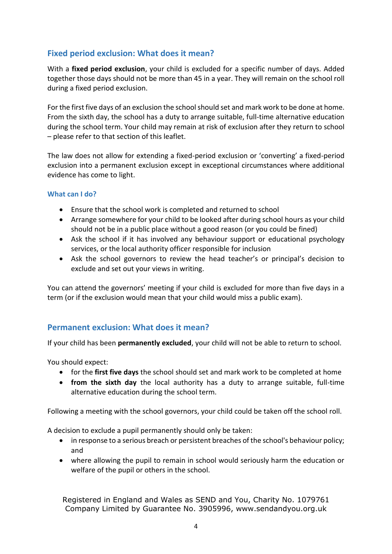# **Fixed period exclusion: What does it mean?**

With a **fixed period exclusion**, your child is excluded for a specific number of days. Added together those days should not be more than 45 in a year. They will remain on the school roll during a fixed period exclusion.

For the first five days of an exclusion the school should set and mark work to be done at home. From the sixth day, the school has a duty to arrange suitable, full-time alternative education during the school term. Your child may remain at risk of exclusion after they return to school – please refer to that section of this leaflet.

The law does not allow for extending a fixed-period exclusion or 'converting' a fixed-period exclusion into a permanent exclusion except in exceptional circumstances where additional evidence has come to light.

#### **What can I do?**

- Ensure that the school work is completed and returned to school
- Arrange somewhere for your child to be looked after during school hours as your child should not be in a public place without a good reason (or you could be fined)
- Ask the school if it has involved any behaviour support or educational psychology services, or the local authority officer responsible for inclusion
- Ask the school governors to review the head teacher's or principal's decision to exclude and set out your views in writing.

You can attend the governors' meeting if your child is excluded for more than five days in a term (or if the exclusion would mean that your child would miss a public exam).

## **Permanent exclusion: What does it mean?**

If your child has been **permanently excluded**, your child will not be able to return to school.

You should expect:

- for the **first five days** the school should set and mark work to be completed at home
- **from the sixth day** the local authority has a duty to arrange suitable, full-time alternative education during the school term.

Following a meeting with the school governors, your child could be taken off the school roll.

A decision to exclude a pupil permanently should only be taken:

- in response to a serious breach or persistent breaches of the school's behaviour policy; and
- where allowing the pupil to remain in school would seriously harm the education or welfare of the pupil or others in the school.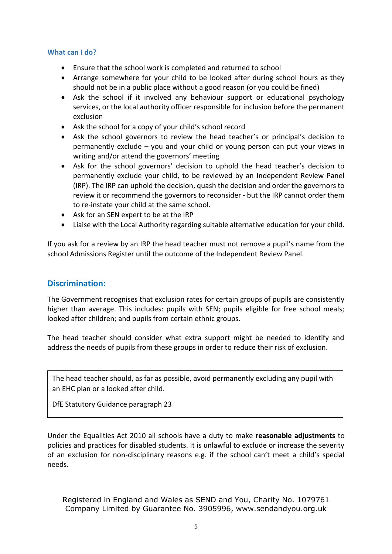#### **What can I do?**

- Ensure that the school work is completed and returned to school
- Arrange somewhere for your child to be looked after during school hours as they should not be in a public place without a good reason (or you could be fined)
- Ask the school if it involved any behaviour support or educational psychology services, or the local authority officer responsible for inclusion before the permanent exclusion
- Ask the school for a copy of your child's school record
- Ask the school governors to review the head teacher's or principal's decision to permanently exclude – you and your child or young person can put your views in writing and/or attend the governors' meeting
- Ask for the school governors' decision to uphold the head teacher's decision to permanently exclude your child, to be reviewed by an Independent Review Panel (IRP). The IRP can uphold the decision, quash the decision and order the governors to review it or recommend the governors to reconsider - but the IRP cannot order them to re-instate your child at the same school.
- Ask for an SEN expert to be at the IRP
- Liaise with the Local Authority regarding suitable alternative education for your child.

If you ask for a review by an IRP the head teacher must not remove a pupil's name from the school Admissions Register until the outcome of the Independent Review Panel.

## **Discrimination:**

The Government recognises that exclusion rates for certain groups of pupils are consistently higher than average. This includes: pupils with SEN; pupils eligible for free school meals; looked after children; and pupils from certain ethnic groups.

The head teacher should consider what extra support might be needed to identify and address the needs of pupils from these groups in order to reduce their risk of exclusion.

The head teacher should, as far as possible, avoid permanently excluding any pupil with an EHC plan or a looked after child.

DfE Statutory Guidance paragraph 23

Under the Equalities Act 2010 all schools have a duty to make **reasonable adjustments** to policies and practices for disabled students. It is unlawful to exclude or increase the severity of an exclusion for non-disciplinary reasons e.g. if the school can't meet a child's special needs.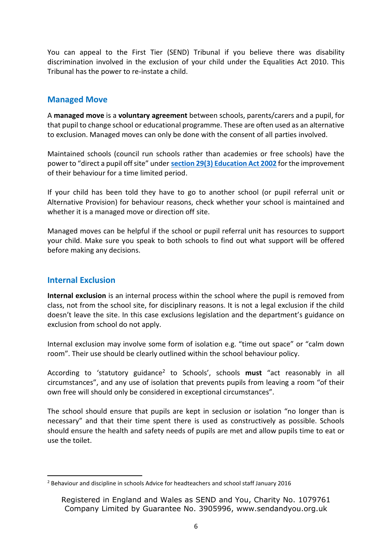You can appeal to the First Tier (SEND) Tribunal if you believe there was disability discrimination involved in the exclusion of your child under the Equalities Act 2010. This Tribunal has the power to re-instate a child.

## **Managed Move**

A **managed move** is a **voluntary agreement** between schools, parents/carers and a pupil, for that pupil to change school or educational programme. These are often used as an alternative to exclusion. Managed moves can only be done with the consent of all parties involved.

Maintained schools (council run schools rather than academies or free schools) have the power to "direct a pupil off site" under **[section 29\(3\) Education Act 2002](http://www.legislation.gov.uk/ukpga/2002/32/section/29)** for the improvement of their behaviour for a time limited period.

If your child has been told they have to go to another school (or pupil referral unit or Alternative Provision) for behaviour reasons, check whether your school is maintained and whether it is a managed move or direction off site.

Managed moves can be helpful if the school or pupil referral unit has resources to support your child. Make sure you speak to both schools to find out what support will be offered before making any decisions.

## **Internal Exclusion**

**Internal exclusion** is an internal process within the school where the pupil is removed from class, not from the school site, for disciplinary reasons. It is not a legal exclusion if the child doesn't leave the site. In this case exclusions legislation and the department's guidance on exclusion from school do not apply.

Internal exclusion may involve some form of isolation e.g. "time out space" or "calm down room". Their use should be clearly outlined within the school behaviour policy.

According to 'statutory guidance<sup>2</sup> to Schools', schools **must** "act reasonably in all circumstances", and any use of isolation that prevents pupils from leaving a room "of their own free will should only be considered in exceptional circumstances".

The school should ensure that pupils are kept in seclusion or isolation "no longer than is necessary" and that their time spent there is used as constructively as possible. Schools should ensure the health and safety needs of pupils are met and allow pupils time to eat or use the toilet.

 $2$  Behaviour and discipline in schools Advice for headteachers and school staff January 2016

Registered in England and Wales as SEND and You, Charity No. 1079761 Company Limited by Guarantee No. 3905996, [www.sendandyou.org.uk](http://www.sendandyou.org.uk)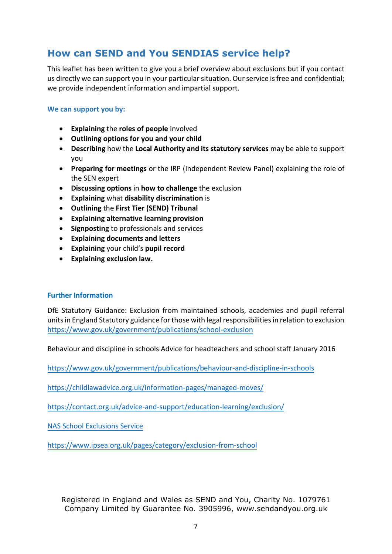# **How can SEND and You SENDIAS service help?**

This leaflet has been written to give you a brief overview about exclusions but if you contact us directly we can support you in your particular situation. Our service is free and confidential; we provide independent information and impartial support.

#### **We can support you by:**

- **Explaining** the **roles of people** involved
- **Outlining options for you and your child**
- **Describing** how the **Local Authority and its statutory services** may be able to support you
- **Preparing for meetings** or the IRP (Independent Review Panel) explaining the role of the SEN expert
- **Discussing options** in **how to challenge** the exclusion
- **Explaining** what **disability discrimination** is
- **Outlining** the **First Tier (SEND) Tribunal**
- **Explaining alternative learning provision**
- **Signposting** to professionals and services
- **Explaining documents and letters**
- **Explaining** your child's **pupil record**
- **Explaining exclusion law.**

## **Further Information**

DfE Statutory Guidance: Exclusion from maintained schools, academies and pupil referral units in England Statutory guidance for those with legal responsibilities in relation to exclusion <https://www.gov.uk/government/publications/school-exclusion>

Behaviour and discipline in schools Advice for headteachers and school staff January 2016

<https://www.gov.uk/government/publications/behaviour-and-discipline-in-schools>

<https://childlawadvice.org.uk/information-pages/managed-moves/>

<https://contact.org.uk/advice-and-support/education-learning/exclusion/>

[NAS School Exclusions Service](http://www.autism.org.uk/services/helplines/school-exclusions.aspx)

<https://www.ipsea.org.uk/pages/category/exclusion-from-school>